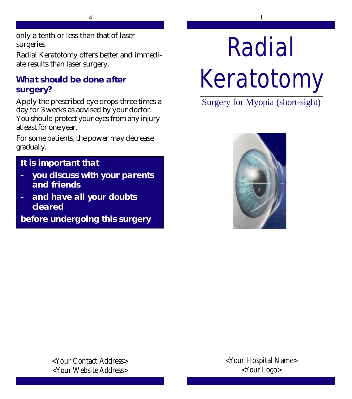only a tenth or less than that of laser surgeries

Radial Keratotomy offers better and immediate results than laser surgery.

## **What should be done after surgery?**

Apply the prescribed eye drops three times a day for 3 weeks as advised by your doctor. You should protect your eyes from any injury atleast for one year.

For some patients, the power may decrease gradually.

# **It is important that**

- **- you discuss with your parents and friends**
- **- and have all your doubts cleared**

**before undergoing this surgery**

# Radial Keratotomy

Surgery for Myopia (short-sight)



**<Your Contact Address> <Your Website Address>** **<Your Hospital Name> <Your Logo>**